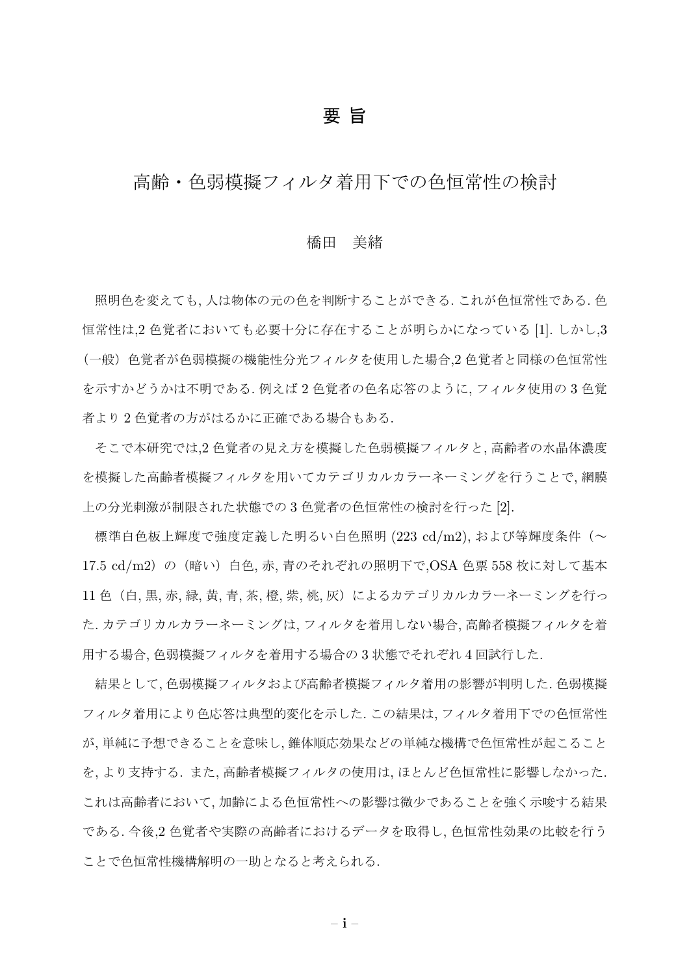## 要 旨

# 高齢・色弱模擬フィルタ着用下での色恒常性の検討

### 橋田 美緒

照明色を変えても, 人は物体の元の色を判断することができる. これが色恒常性である. 色 恒常性は,2 色覚者においても必要十分に存在することが明らかになっている [1]. しかし,3 (一般)色覚者が色弱模擬の機能性分光フィルタを使用した場合,2 色覚者と同様の色恒常性 を示すかどうかは不明である. 例えば 2 色覚者の色名応答のように, フィルタ使用の 3 色覚 者より 2 色覚者の方がはるかに正確である場合もある.

そこで本研究では,2 色覚者の見え方を模擬した色弱模擬フィルタと, 高齢者の水晶体濃度 を模擬した高齢者模擬フィルタを用いてカテゴリカルカラーネーミングを行うことで, 網膜 上の分光刺激が制限された状態での 3 色覚者の色恒常性の検討を行った [2].

標準白色板上輝度で強度定義した明るい白色照明 (223 cd/m2), および等輝度条件(~ 17.5 cd/m2) の (暗い) 白色, 赤, 青のそれぞれの照明下で,OSA 色票 558 枚に対して基本 11 色(白, 黒, 赤, 緑, 黄, 青, 茶, 橙, 紫, 桃, 灰)によるカテゴリカルカラーネーミングを行っ た. カテゴリカルカラーネーミングは, フィルタを着用しない場合, 高齢者模擬フィルタを着 用する場合, 色弱模擬フィルタを着用する場合の 3 状態でそれぞれ 4 回試行した.

結果として, 色弱模擬フィルタおよび高齢者模擬フィルタ着用の影響が判明した. 色弱模擬 フィルタ着用により色応答は典型的変化を示した. この結果は, フィルタ着用下での色恒常性 が, 単純に予想できることを意味し, 錐体順応効果などの単純な機構で色恒常性が起こること を, より支持する. また, 高齢者模擬フィルタの使用は, ほとんど色恒常性に影響しなかった. これは高齢者において, 加齢による色恒常性への影響は微少であることを強く示唆する結果 である. 今後,2 色覚者や実際の高齢者におけるデータを取得し, 色恒常性効果の比較を行う ことで色恒常性機構解明の一助となると考えられる.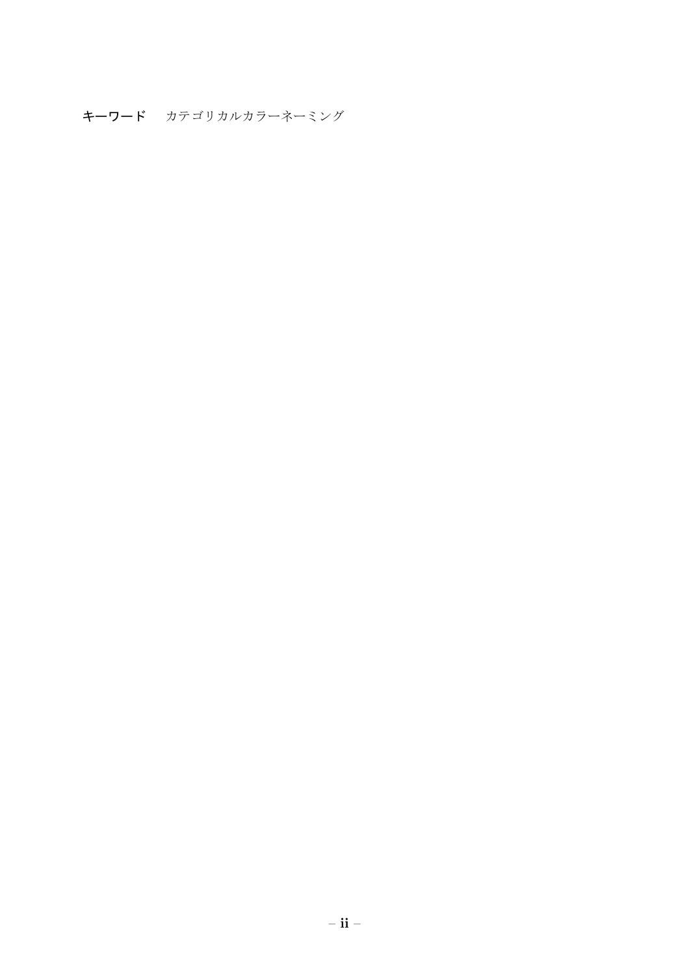キーワード カテゴリカルカラーネーミング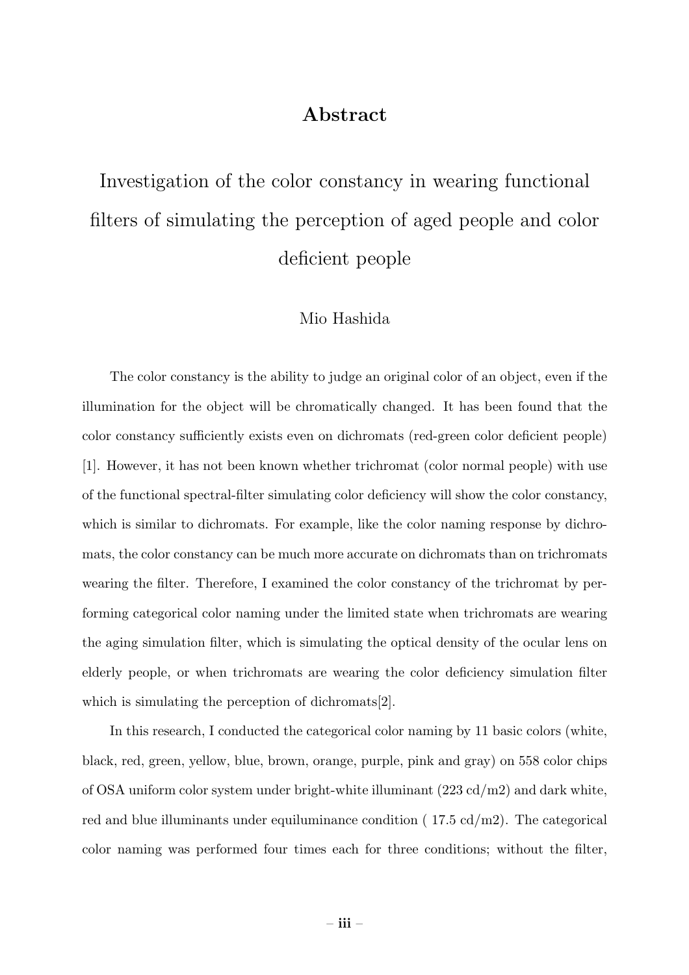# **Abstract**

Investigation of the color constancy in wearing functional filters of simulating the perception of aged people and color deficient people

### Mio Hashida

The color constancy is the ability to judge an original color of an object, even if the illumination for the object will be chromatically changed. It has been found that the color constancy sufficiently exists even on dichromats (red-green color deficient people) [1]. However, it has not been known whether trichromat (color normal people) with use of the functional spectral-filter simulating color deficiency will show the color constancy, which is similar to dichromats. For example, like the color naming response by dichromats, the color constancy can be much more accurate on dichromats than on trichromats wearing the filter. Therefore, I examined the color constancy of the trichromat by performing categorical color naming under the limited state when trichromats are wearing the aging simulation filter, which is simulating the optical density of the ocular lens on elderly people, or when trichromats are wearing the color deficiency simulation filter which is simulating the perception of dichromats [2].

In this research, I conducted the categorical color naming by 11 basic colors (white, black, red, green, yellow, blue, brown, orange, purple, pink and gray) on 558 color chips of OSA uniform color system under bright-white illuminant (223 cd/m2) and dark white, red and blue illuminants under equiluminance condition ( 17.5 cd/m2). The categorical color naming was performed four times each for three conditions; without the filter,